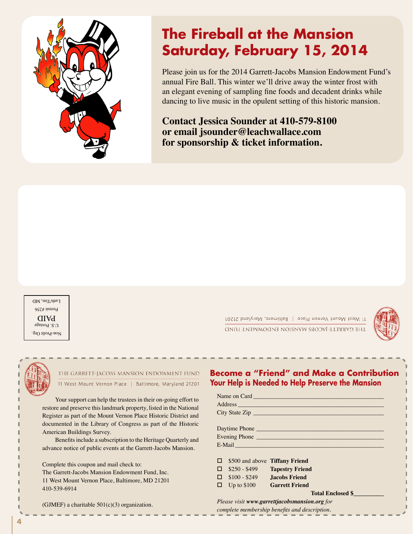

# **The Fireball at the Mansion Saturday, February 15, 2014**

Please join us for the 2014 Garrett-Jacobs Mansion Endowment Fund's annual Fire Ball. This winter we'll drive away the winter frost with an elegant evening of sampling fine foods and decadent drinks while dancing to live music in the opulent setting of this historic mansion.

**Contact Jessica Sounder at 410-579-8100 or email jsounder@leachwallace.com for sponsorship & ticket information.**

Non-Profit Org.  $0.5.$  Postage PAID Permit #256 Luth/Tim, MD (\$75 of each ticket is tax deductible. \$100 of each ticket represents the fair market value

11 West Mount Vernon Place | Baltimore, Maryland 21201 THE GARRETT-JACOBS MANSION ENDOWMENT FUND





## THE GARRETT-JACOBS MANSION ENDOWMENT FUND **Address:** West Mount Vernon P

Your support can help the trustees in their on-going effort to restore and preserve this landmark property, listed in the National **Register as part of the Mount Vernon Place Historic District and** documented in the Library of Congress as part of the Historic American Buildings Survey.

Benefits include a subscription to the Heritage Quarterly and advance notice of public events at the Garrett-Jacobs Mansion.

> Complete this coupon and mail check to: The Garrett-Jacobs Mansion Endowment Fund, Inc. 11 West Mount Vernon Place, Baltimore, MD 21201 410-539-6914

(GJMEF) a charitable  $501(c)(3)$  organization. **TICKETS** (GJMEF) a charitable 50

### **Become a "Friend" and Make a Contribution Your Help is Needed to Help Preserve the Mansion**

|                                       | City State Zip                                                                                                                                                                                                                 |  |
|---------------------------------------|--------------------------------------------------------------------------------------------------------------------------------------------------------------------------------------------------------------------------------|--|
|                                       |                                                                                                                                                                                                                                |  |
|                                       |                                                                                                                                                                                                                                |  |
|                                       | Evening Phone                                                                                                                                                                                                                  |  |
|                                       | E-Mail Participation and the contract of the contract of the contract of the contract of the contract of the contract of the contract of the contract of the contract of the contract of the contract of the contract of the c |  |
|                                       |                                                                                                                                                                                                                                |  |
| $\Box$ \$500 and above Tiffany Friend |                                                                                                                                                                                                                                |  |
|                                       | $\Box$ \$250 - \$499 Tapestry Friend                                                                                                                                                                                           |  |
| $\Box$ \$100 - \$249 Jacobs Friend    |                                                                                                                                                                                                                                |  |
| □ Up to \$100 Garrett Friend          |                                                                                                                                                                                                                                |  |
|                                       | <b>Total Enclosed \$</b>                                                                                                                                                                                                       |  |
|                                       | Please visit www.garrettjacobsmansion.org for                                                                                                                                                                                  |  |
|                                       |                                                                                                                                                                                                                                |  |

*complete membership benefits and description.*

**4** *As a thank you to members of the Engineer's Club of Baltimore, Sunday Brunch on 2/12/12 is*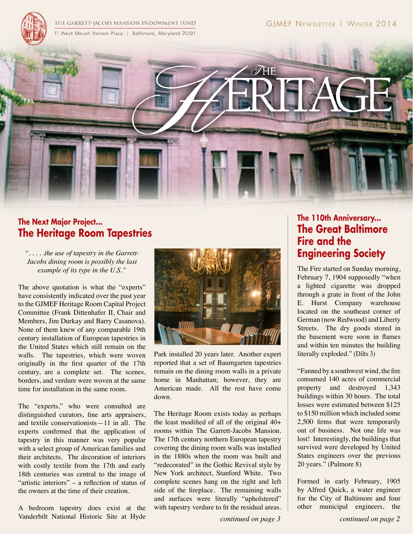

THE GARRETT-JACOBS MANSION ENDOWMENT FUND 11 West Mount Vernon Place | Baltimore, Maryland 21201



# **The Next Major Project... The Heritage Room Tapestries**

*". . . . .the use of tapestry in the Garrett-Jacobs dining room is possibly the last example of its type in the U.S."*

The above quotation is what the "experts" have consistently indicated over the past year to the GJMEF Heritage Room Capital Project Committee (Frank Dittenhafer II, Chair and Members, Jim Durkay and Barry Casanova). None of them knew of any comparable 19th century installation of European tapestries in the United States which still remain on the walls. The tapestries, which were woven originally in the first quarter of the 17th century, are a complete set. The scenes, borders, and verdure were woven at the same time for installation in the same room.

The "experts," who were consulted are distinguished curators, fine arts appraisers, and textile conservationists—11 in all. The experts confirmed that the application of tapestry in this manner was very popular with a select group of American families and their architects. The decoration of interiors with costly textile from the 17th and early 18th centuries was central to the image of "artistic interiors" – a reflection of status of the owners at the time of their creation.

A bedroom tapestry does exist at the Vanderbilt National Historic Site at Hyde



Park installed 20 years later. Another expert reported that a set of Baumgarten tapestries remain on the dining room walls in a private home in Manhattan; however, they are American made. All the rest have come down.

The Heritage Room exists today as perhaps the least modified of all of the original 40+ rooms within The Garrett-Jacobs Mansion. The 17th century northern European tapestry covering the dining room walls was installed in the 1880s when the room was built and "redecorated" in the Gothic Revival style by New York architect, Stanford White. Two complete scenes hang on the right and left side of the fireplace. The remaining walls and surfaces were literally "upholstered" with tapestry verdure to fit the residual areas.

*continued on page 3 continued on page 2*

# **The 110th Anniversary... The Great Baltimore Fire and the Engineering Society**

The Fire started on Sunday morning, February 7, 1904 supposedly "when a lighted cigarette was dropped through a grate in front of the John E. Hurst Company warehouse located on the southeast corner of German (now Redwood) and Liberty Streets. The dry goods stored in the basement were soon in flames and within ten minutes the building literally exploded." (Dilts 3)

"Fanned by a southwest wind, the fire consumed 140 acres of commercial property and destroyed 1,343 buildings within 30 hours. The total losses were estimated between \$125 to \$150 million which included some 2,500 firms that were temporarily out of business. Not one life was lost! Interestingly, the buildings that survived were developed by United States engineers over the previous 20 years." (Palmore 8)

Formed in early February, 1905 by Alfred Quick, a water engineer for the City of Baltimore and four other municipal engineers, the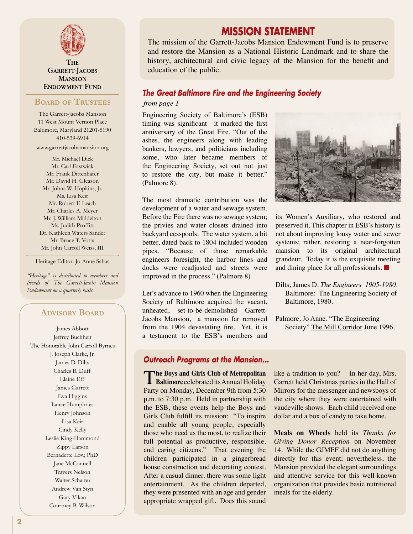

**THE** GARRETT-JACOBS **MANSION ENDOWMENT FUND** 

#### **Board of Trustees**

The Garrett-Jacobs Mansion 11 West Mount Vernon Place Baltimore, Maryland 21201-5190 410-539-6914 www.garrettjacobsmansion.org

Mr. Michael Dick Mr. Carl Eastwick Mr. Frank Dittenhafer Mr. David H. Gleason Mr. Johns W. Hopkins, Jr. Ms. Lisa Keir Mr. Robert F. Leach Mr. Charles A. Meyer Mr. J. William Middelton Ms. Judith Proffitt Dr. Kathleen Waters Sander Mr. Bruce T. Votta Mr. John Carroll Weiss, III

Heritage Editor: Jo Anne Sabas

*"Heritage" is distributed to members and friends of The Garrett-Jacobs Mansion Endowment on a quarterly basis.*

#### **Advisory Board**

James Abbott Jeffrey Buchheit The Honorable John Carroll Byrnes J. Joseph Clarke, Jr. James D. Dilts Charles B. Duff Elaine Eff James Garrett Eva Higgins Lance Humphries Henry Johnson Lisa Keir Cindy Kelly Leslie King-Hammond Zippy Larson Bernadette Low, PhD Jane McConnell Travers Nelson Walter Schamu Andrew Van Styn Gary Vikan Courtney B. Wilson

# **MISSION STATEMENT**

The mission of the Garrett-Jacobs Mansion Endowment Fund is to preserve and restore the Mansion as a National Historic Landmark and to share the history, architectural and civic legacy of the Mansion for the benefit and education of the public.

#### *The Great Baltimore Fire and the Engineering Society*

#### from page 1

Engineering Society of Baltimore's (ESB) timing was significant—it marked the first anniversary of the Great Fire. "Out of the ashes, the engineers along with leading bankers, lawyers, and politicians including some, who later became members of the Engineering Society, set out not just to restore the city, but make it better." (Palmore 8).

The most dramatic contribution was the development of a water and sewage system. Before the Fire there was no sewage system; the privies and water closets drained into backyard cesspools. The water system, a bit better, dated back to 1804 included wooden pipes. "Because of those remarkable engineers foresight, the harbor lines and docks were readjusted and streets were improved in the process." (Palmore 8)

Let's advance to 1960 when the Engineering Society of Baltimore acquired the vacant, unheated, set-to-be-demolished Garrett-Jacobs Mansion, a mansion far removed from the 1904 devastating fire. Yet, it is a testament to the ESB's members and

#### *Outreach Programs at the Mansion...*

**The Boys and Girls Club of Metropolitan**<br> **Baltimore** celebrated its Annual Holiday Party on Monday, December 9th from 5:30 p.m. to 7:30 p.m. Held in partnership with the ESB, these events help the Boys and Girls Club fulfill its mission: "To inspire and enable all young people, especially those who need us the most, to realize their full potential as productive, responsible, and caring citizens." That evening the children participated in a gingerbread house construction and decorating contest. After a casual dinner. there was some light entertainment. As the children departed, they were presented with an age and gender appropriate wrapped gift. Does this sound



its Women's Auxiliary, who restored and preserved it. This chapter in ESB's history is not about improving lousy water and sewer systems; rather, restoring a near-forgotten mansion to its original architectural grandeur. Today it is the exquisite meeting and dining place for all professionals. ■

- Dilts, James D. *The Engineers 1905-1980*. Baltimore: The Engineering Society of Baltimore, 1980.
- Palmore, Jo Anne. "The Engineering Society" The Mill Corridor June 1996.

like a tradition to you? In her day, Mrs. Garrett held Christmas parties in the Hall of Mirrors for the messenger and newsboys of the city where they were entertained with vaudeville shows. Each child received one dollar and a box of candy to take home.

**Meals on Wheels** held its *Thanks for Giving Donor Reception* on November 14. While the GJMEF did not do anything directly for this event; nevertheless, the Mansion provided the elegant surroundings and attentive service for this well-known organization that provides basic nutritional meals for the elderly.